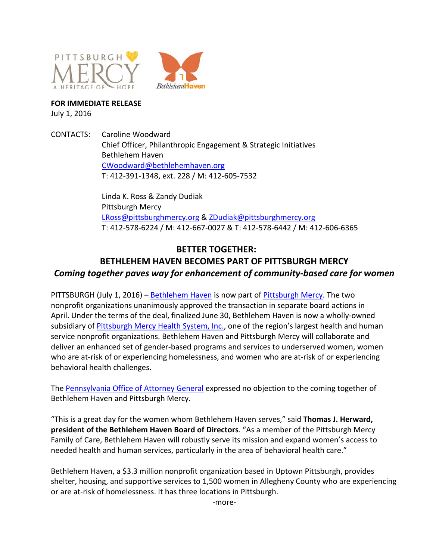



**FOR IMMEDIATE RELEASE**

July 1, 2016

CONTACTS: Caroline Woodward Chief Officer, Philanthropic Engagement & Strategic Initiatives Bethlehem Haven [CWoodward@bethlehemhaven.org](mailto:CWoodward@bethlehemhaven.org) T: 412-391-1348, ext. 228 / M: 412-605-7532

> Linda K. Ross & Zandy Dudiak Pittsburgh Mercy [LRoss@pittsburghmercy.org](mailto:LRoss@pittsburghmercy.org) & [ZDudiak@pittsburghmercy.org](mailto:ZDudiak@pittsburghmercy.org) T: 412-578-6224 / M: 412-667-0027 & T: 412-578-6442 / M: 412-606-6365

## **BETTER TOGETHER: BETHLEHEM HAVEN BECOMES PART OF PITTSBURGH MERCY** *Coming together paves way for enhancement of community-based care for women*

PITTSBURGH (July 1, 2016) – [Bethlehem Haven](https://www.bethlehemhaven.org/) is now part of [Pittsburgh Mercy.](https://www.pittsburghmercy.org/) The two nonprofit organizations unanimously approved the transaction in separate board actions in April. Under the terms of the deal, finalized June 30, Bethlehem Haven is now a wholly-owned subsidiary of [Pittsburgh Mercy Health System, Inc.,](https://www.pittsburghmercy.org/) one of the region's largest health and human service nonprofit organizations. Bethlehem Haven and Pittsburgh Mercy will collaborate and deliver an enhanced set of gender-based programs and services to underserved women, women who are at-risk of or experiencing homelessness, and women who are at-risk of or experiencing behavioral health challenges.

The [Pennsylvania Office of Attorney General](https://www.attorneygeneral.gov/) expressed no objection to the coming together of Bethlehem Haven and Pittsburgh Mercy.

"This is a great day for the women whom Bethlehem Haven serves," said **Thomas J. Herward, president of the Bethlehem Haven Board of Directors**. "As a member of the Pittsburgh Mercy Family of Care, Bethlehem Haven will robustly serve its mission and expand women's access to needed health and human services, particularly in the area of behavioral health care."

Bethlehem Haven, a \$3.3 million nonprofit organization based in Uptown Pittsburgh, provides shelter, housing, and supportive services to 1,500 women in Allegheny County who are experiencing or are at-risk of homelessness. It has three locations in Pittsburgh.